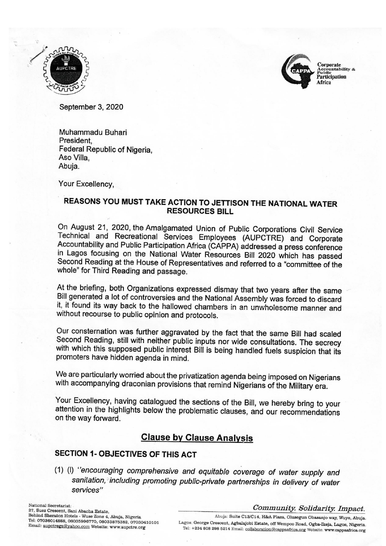



C<mark>orporate</mark><br>Accountability &<br>Public Participation Africa

September 3, 2020

Muhammadu Buhari President Federal Republic of Nigeria. Aso Villa. Abuja.

Your Excellency.

### REASONS YOU MUST TAKE ACTION TO JETTISON THE NATIONAL WATER **RESOURCES BILL**

On August 21, 2020, the Amalgamated Union of Public Corporations Civil Service Technical and Recreational Services Employees (AUPCTRE) and Corporate Accountability and Public Participation Africa (CAPPA) addressed a press conference in Lagos focusing on the National Water Resources Bill 2020 which has passed Second Reading at the House of Representatives and referred to a "committee of the whole" for Third Reading and passage.

At the briefing, both Organizations expressed dismay that two years after the same Bill generated a lot of controversies and the National Assembly was forced to discard it, it found its way back to the hallowed chambers in an unwholesome manner and without recourse to public opinion and protocols.

Our consternation was further aggravated by the fact that the same Bill had scaled Second Reading, still with neither public inputs nor wide consultations. The secrecy with which this supposed public interest Bill is being handled fuels suspicion that its promoters have hidden agenda in mind.

We are particularly worried about the privatization agenda being imposed on Nigerians with accompanying draconian provisions that remind Nigerians of the Military era.

Your Excellency, having catalogued the sections of the Bill, we hereby bring to your attention in the highlights below the problematic clauses, and our recommendations on the way forward.

## **Clause by Clause Analysis**

### **SECTION 1- OBJECTIVES OF THIS ACT**

(1) (I) "encouraging comprehensive and equitable coverage of water supply and sanitation, including promoting public-private partnerships in delivery of water services"

National Secretariat: 27, Suez Crescent, Sani Abacha Estate, Behind Sheraton Hotels - Wuse Zone 4, Abuja, Nigeria Tel: 07036014888, 08035996770, 08033875382, 07030410101 Email: aupctregs@yahoo.com Website: www.aupctre.org

#### Community. Solidarity. Impact.

Abuja: Suite C13/C14, H&A Plaza, Olusegun Obasanjo way, Wuye, Abuja. Lagos: George Crescent, Agbalajobi Estate, off Wempco Road, Ogba-Ikeja, Lagos, Nigeria. Tel: +234 808 298 5214 Email: collaboration@cappaafrica.org Website: www.cappaafrica.org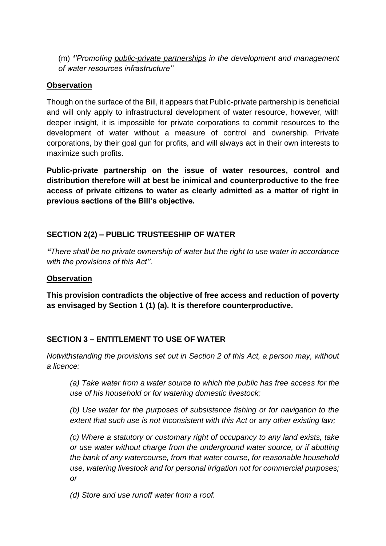(m) *''Promoting public-private partnerships in the development and management of water resources infrastructure''*

### **Observation**

Though on the surface of the Bill, it appears that Public-private partnership is beneficial and will only apply to infrastructural development of water resource, however, with deeper insight, it is impossible for private corporations to commit resources to the development of water without a measure of control and ownership. Private corporations, by their goal gun for profits, and will always act in their own interests to maximize such profits.

**Public-private partnership on the issue of water resources, control and distribution therefore will at best be inimical and counterproductive to the free access of private citizens to water as clearly admitted as a matter of right in previous sections of the Bill's objective.**

### **SECTION 2(2) – PUBLIC TRUSTEESHIP OF WATER**

*"There shall be no private ownership of water but the right to use water in accordance with the provisions of this Act''.*

#### **Observation**

**This provision contradicts the objective of free access and reduction of poverty as envisaged by Section 1 (1) (a). It is therefore counterproductive.**

### **SECTION 3 – ENTITLEMENT TO USE OF WATER**

*Notwithstanding the provisions set out in Section 2 of this Act, a person may, without a licence:* 

*(a) Take water from a water source to which the public has free access for the use of his household or for watering domestic livestock;* 

*(b) Use water for the purposes of subsistence fishing or for navigation to the extent that such use is not inconsistent with this Act or any other existing law;* 

*(c) Where a statutory or customary right of occupancy to any land exists, take or use water without charge from the underground water source, or if abutting the bank of any watercourse, from that water course, for reasonable household use, watering livestock and for personal irrigation not for commercial purposes; or* 

*(d) Store and use runoff water from a roof.*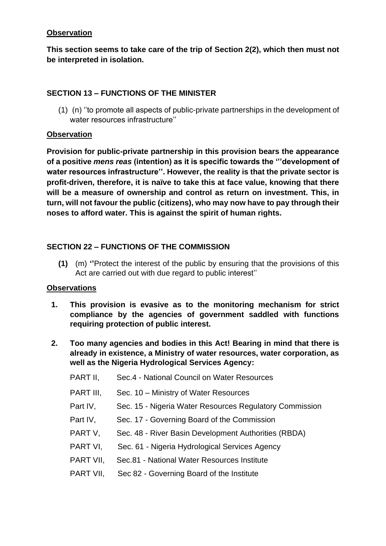**This section seems to take care of the trip of Section 2(2), which then must not be interpreted in isolation.**

### **SECTION 13 – FUNCTIONS OF THE MINISTER**

(1) (n) ''to promote all aspects of public-private partnerships in the development of water resources infrastructure''

### **Observation**

**Provision for public-private partnership in this provision bears the appearance of a positive** *mens reas* **(intention) as it is specific towards the '''development of water resources infrastructure''. However, the reality is that the private sector is profit-driven, therefore, it is naïve to take this at face value, knowing that there will be a measure of ownership and control as return on investment. This, in turn, will not favour the public (citizens), who may now have to pay through their noses to afford water. This is against the spirit of human rights.**

### **SECTION 22 – FUNCTIONS OF THE COMMISSION**

**(1)** (m) **''**Protect the interest of the public by ensuring that the provisions of this Act are carried out with due regard to public interest''

### **Observations**

- **1. This provision is evasive as to the monitoring mechanism for strict compliance by the agencies of government saddled with functions requiring protection of public interest.**
- **2. Too many agencies and bodies in this Act! Bearing in mind that there is already in existence, a Ministry of water resources, water corporation, as well as the Nigeria Hydrological Services Agency:**

| PART II,  | Sec.4 - National Council on Water Resources             |
|-----------|---------------------------------------------------------|
| PART III, | Sec. 10 – Ministry of Water Resources                   |
| Part IV,  | Sec. 15 - Nigeria Water Resources Regulatory Commission |
| Part IV,  | Sec. 17 - Governing Board of the Commission             |
| PART V,   | Sec. 48 - River Basin Development Authorities (RBDA)    |
| PART VI,  | Sec. 61 - Nigeria Hydrological Services Agency          |
| PART VII, | Sec.81 - National Water Resources Institute             |
| PART VII, | Sec 82 - Governing Board of the Institute               |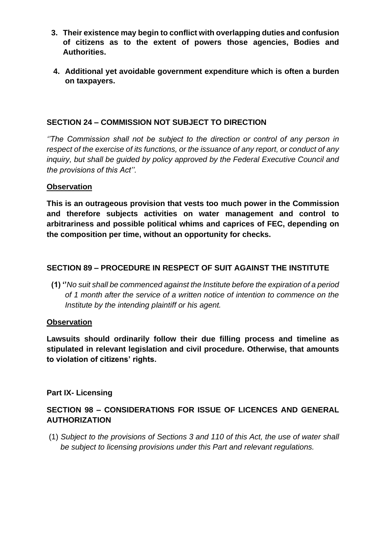- **3. Their existence may begin to conflict with overlapping duties and confusion of citizens as to the extent of powers those agencies, Bodies and Authorities.**
- **4. Additional yet avoidable government expenditure which is often a burden on taxpayers.**

### **SECTION 24 – COMMISSION NOT SUBJECT TO DIRECTION**

*''The Commission shall not be subject to the direction or control of any person in respect of the exercise of its functions, or the issuance of any report, or conduct of any inquiry, but shall be guided by policy approved by the Federal Executive Council and the provisions of this Act''.*

#### **Observation**

**This is an outrageous provision that vests too much power in the Commission and therefore subjects activities on water management and control to arbitrariness and possible political whims and caprices of FEC, depending on the composition per time, without an opportunity for checks.**

### **SECTION 89 – PROCEDURE IN RESPECT OF SUIT AGAINST THE INSTITUTE**

**(1) ''***No suit shall be commenced against the Institute before the expiration of a period of 1 month after the service of a written notice of intention to commence on the Institute by the intending plaintiff or his agent.*

#### **Observation**

**Lawsuits should ordinarily follow their due filling process and timeline as stipulated in relevant legislation and civil procedure. Otherwise, that amounts to violation of citizens' rights.**

#### **Part IX- Licensing**

### **SECTION 98 – CONSIDERATIONS FOR ISSUE OF LICENCES AND GENERAL AUTHORIZATION**

(1) *Subject to the provisions of Sections 3 and 110 of this Act, the use of water shall be subject to licensing provisions under this Part and relevant regulations.*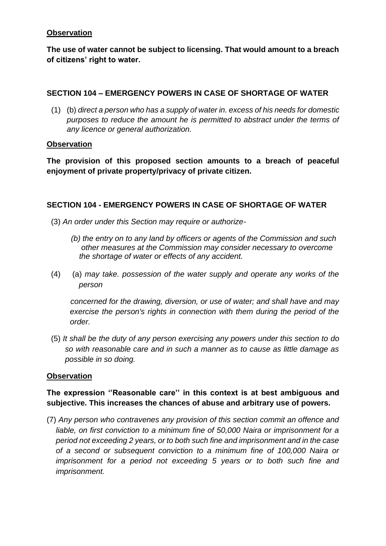**The use of water cannot be subject to licensing. That would amount to a breach of citizens' right to water.**

### **SECTION 104 – EMERGENCY POWERS IN CASE OF SHORTAGE OF WATER**

(1) (b) *direct a person who has a supply of water in. excess of his needs for domestic purposes to reduce the amount he is permitted to abstract under the terms of any licence or general authorization.*

#### **Observation**

**The provision of this proposed section amounts to a breach of peaceful enjoyment of private property/privacy of private citizen.**

#### **SECTION 104 - EMERGENCY POWERS IN CASE OF SHORTAGE OF WATER**

- (3) *An order under this Section may require or authorize-*
	- *(b) the entry on to any land by officers or agents of the Commission and such other measures at the Commission may consider necessary to overcome the shortage of water or effects of any accident.*
- (4) (a) *may take. possession of the water supply and operate any works of the person*

*concerned for the drawing, diversion, or use of water; and shall have and may*  exercise the person's rights in connection with them during the period of the *order.*

 (5) *It shall be the duty of any person exercising any powers under this section to do so with reasonable care and in such a manner as to cause as little damage as possible in so doing.*

#### **Observation**

## **The expression ''Reasonable care'' in this context is at best ambiguous and subjective. This increases the chances of abuse and arbitrary use of powers.**

(7) *Any person who contravenes any provision of this section commit an offence and liable, on first conviction to a minimum fine of 50,000 Naira or imprisonment for a period not exceeding 2 years, or to both such fine and imprisonment and in the case of a second or subsequent conviction to a minimum fine of 100,000 Naira or imprisonment for a period not exceeding 5 years or to both such fine and imprisonment.*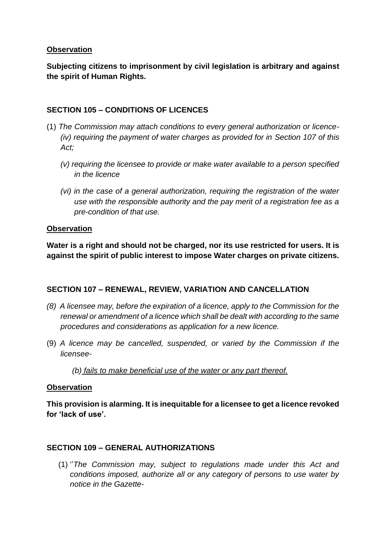**Subjecting citizens to imprisonment by civil legislation is arbitrary and against the spirit of Human Rights.**

### **SECTION 105 – CONDITIONS OF LICENCES**

- (1) *The Commission may attach conditions to every general authorization or licence- (iv) requiring the payment of water charges as provided for in Section 107 of this Act;*
	- *(v) requiring the licensee to provide or make water available to a person specified in the licence*
	- *(vi) in the case of a general authorization, requiring the registration of the water use with the responsible authority and the pay merit of a registration fee as a pre-condition of that use.*

#### **Observation**

**Water is a right and should not be charged, nor its use restricted for users. It is against the spirit of public interest to impose Water charges on private citizens.**

### **SECTION 107 – RENEWAL, REVIEW, VARIATION AND CANCELLATION**

- *(8) A licensee may, before the expiration of a licence, apply to the Commission for the renewal or amendment of a licence which shall be dealt with according to the same procedures and considerations as application for a new licence.*
- (9) *A licence may be cancelled, suspended, or varied by the Commission if the licensee-*

*(b) fails to make beneficial use of the water or any part thereof.*

#### **Observation**

**This provision is alarming. It is inequitable for a licensee to get a licence revoked for 'lack of use'.**

#### **SECTION 109 – GENERAL AUTHORIZATIONS**

(1) ''*The Commission may, subject to regulations made under this Act and conditions imposed, authorize all or any category of persons to use water by notice in the Gazette-*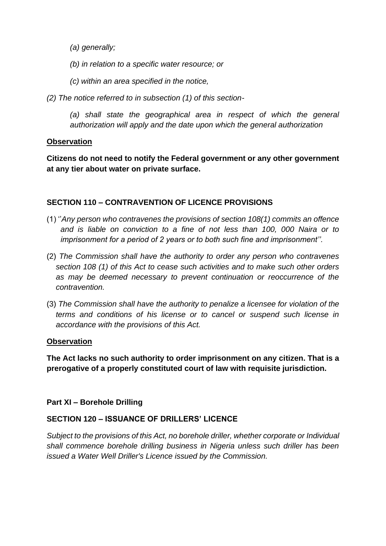*(a) generally;* 

- *(b) in relation to a specific water resource; or*
- *(c) within an area specified in the notice,*
- *(2) The notice referred to in subsection (1) of this section-*

*(a) shall state the geographical area in respect of which the general authorization will apply and the date upon which the general authorization*

#### **Observation**

**Citizens do not need to notify the Federal government or any other government at any tier about water on private surface.** 

### **SECTION 110 – CONTRAVENTION OF LICENCE PROVISIONS**

- (1) ''*Any person who contravenes the provisions of section 108(1) commits an offence and is liable on conviction to a fine of not less than 100, 000 Naira or to imprisonment for a period of 2 years or to both such fine and imprisonment''.*
- (2) *The Commission shall have the authority to order any person who contravenes section 108 (1) of this Act to cease such activities and to make such other orders as may be deemed necessary to prevent continuation or reoccurrence of the contravention.*
- (3) *The Commission shall have the authority to penalize a licensee for violation of the terms and conditions of his license or to cancel or suspend such license in accordance with the provisions of this Act.*

#### **Observation**

**The Act lacks no such authority to order imprisonment on any citizen. That is a prerogative of a properly constituted court of law with requisite jurisdiction.**

### **Part XI – Borehole Drilling**

### **SECTION 120 – ISSUANCE OF DRILLERS' LICENCE**

*Subject to the provisions of this Act, no borehole driller, whether corporate or Individual shall commence borehole drilling business in Nigeria unless such driller has been issued a Water Well Driller's Licence issued by the Commission.*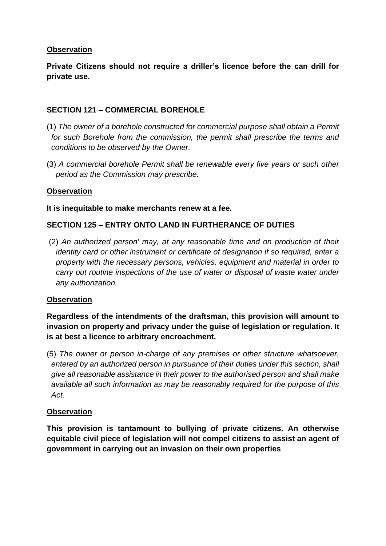**Private Citizens should not require a driller's licence before the can drill for private use.**

### **SECTION 121 – COMMERCIAL BOREHOLE**

- (1) *The owner of a borehole constructed for commercial purpose shall obtain a Permit for such Borehole from the commission, the permit shall prescribe the terms and conditions to be observed by the Owner.*
- (3) *A commercial borehole Permit shall be renewable every five years or such other period as the Commission may prescribe.*

### **Observation**

#### **It is inequitable to make merchants renew at a fee.**

### **SECTION 125 – ENTRY ONTO LAND IN FURTHERANCE OF DUTIES**

(2) *An authorized person' may, at any reasonable time and on production of their identity card or other instrument or certificate of designation if so required, enter a property with the necessary persons, vehicles, equipment and material in order to carry out routine inspections of the use of water or disposal of waste water under any authorization.*

#### **Observation**

**Regardless of the intendments of the draftsman, this provision will amount to invasion on property and privacy under the guise of legislation or regulation. It is at best a licence to arbitrary encroachment.**

(5) *The owner or person in-charge of any premises or other structure whatsoever, entered by an authorized person in pursuance of their duties under this section, shall give all reasonable assistance in their power to the authorised person and shall make available all such information as may be reasonably required for the purpose of this Act.*

#### **Observation**

**This provision is tantamount to bullying of private citizens. An otherwise equitable civil piece of legislation will not compel citizens to assist an agent of government in carrying out an invasion on their own properties**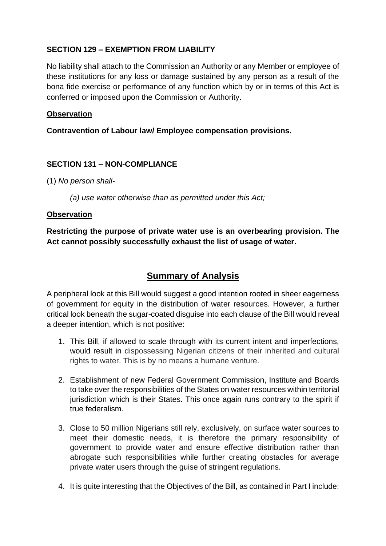### **SECTION 129 – EXEMPTION FROM LIABILITY**

No liability shall attach to the Commission an Authority or any Member or employee of these institutions for any loss or damage sustained by any person as a result of the bona fide exercise or performance of any function which by or in terms of this Act is conferred or imposed upon the Commission or Authority.

### **Observation**

**Contravention of Labour law/ Employee compensation provisions.**

### **SECTION 131 – NON-COMPLIANCE**

(1) *No person shall-* 

*(a) use water otherwise than as permitted under this Act;*

### **Observation**

**Restricting the purpose of private water use is an overbearing provision. The Act cannot possibly successfully exhaust the list of usage of water.**

# **Summary of Analysis**

A peripheral look at this Bill would suggest a good intention rooted in sheer eagerness of government for equity in the distribution of water resources. However, a further critical look beneath the sugar-coated disguise into each clause of the Bill would reveal a deeper intention, which is not positive:

- 1. This Bill, if allowed to scale through with its current intent and imperfections, would result in dispossessing Nigerian citizens of their inherited and cultural rights to water. This is by no means a humane venture.
- 2. Establishment of new Federal Government Commission, Institute and Boards to take over the responsibilities of the States on water resources within territorial jurisdiction which is their States. This once again runs contrary to the spirit if true federalism.
- 3. Close to 50 million Nigerians still rely, exclusively, on surface water sources to meet their domestic needs, it is therefore the primary responsibility of government to provide water and ensure effective distribution rather than abrogate such responsibilities while further creating obstacles for average private water users through the guise of stringent regulations.
- 4. It is quite interesting that the Objectives of the Bill, as contained in Part I include: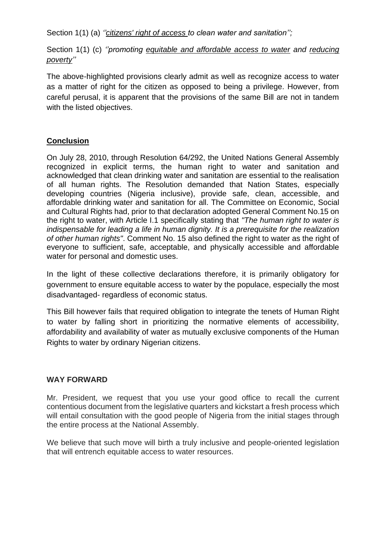Section 1(1) (a) *''citizens' right of access to clean water and sanitation'';*

Section 1(1) (c) *''promoting equitable and affordable access to water and reducing poverty''*

The above-highlighted provisions clearly admit as well as recognize access to water as a matter of right for the citizen as opposed to being a privilege. However, from careful perusal, it is apparent that the provisions of the same Bill are not in tandem with the listed objectives.

### **Conclusion**

On July 28, 2010, through Resolution 64/292, the United Nations General Assembly recognized in explicit terms, the human right to water and sanitation and acknowledged that clean drinking water and sanitation are essential to the realisation of all human rights. The Resolution demanded that Nation States, especially developing countries (Nigeria inclusive), provide safe, clean, accessible, and affordable drinking water and sanitation for all. The Committee on Economic, Social and Cultural Rights had, prior to that declaration adopted General Comment No.15 on the right to water, with Article I.1 specifically stating that *"The human right to water is indispensable for leading a life in human dignity. It is a prerequisite for the realization of other human rights"*. Comment No. 15 also defined the right to water as the right of everyone to sufficient, safe, acceptable, and physically accessible and affordable water for personal and domestic uses.

In the light of these collective declarations therefore, it is primarily obligatory for government to ensure equitable access to water by the populace, especially the most disadvantaged- regardless of economic status.

This Bill however fails that required obligation to integrate the tenets of Human Right to water by falling short in prioritizing the normative elements of accessibility, affordability and availability of water as mutually exclusive components of the Human Rights to water by ordinary Nigerian citizens.

#### **WAY FORWARD**

Mr. President, we request that you use your good office to recall the current contentious document from the legislative quarters and kickstart a fresh process which will entail consultation with the good people of Nigeria from the initial stages through the entire process at the National Assembly.

We believe that such move will birth a truly inclusive and people-oriented legislation that will entrench equitable access to water resources.